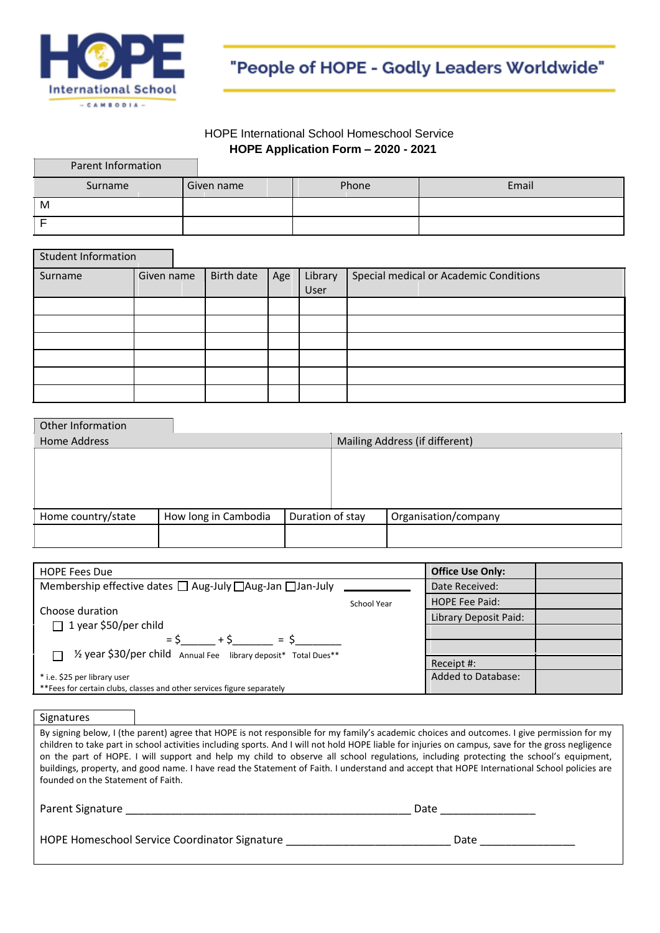

"People of HOPE - Godly Leaders Worldwide"

#### HOPE International School Homeschool Service **HOPE Application Form – 2020 - 2021**

| Parent Information |            |       |       |
|--------------------|------------|-------|-------|
| Surname            | Given name | Phone | Email |
| M                  |            |       |       |
|                    |            |       |       |

| <b>Student Information</b> |            |            |     |         |                                        |
|----------------------------|------------|------------|-----|---------|----------------------------------------|
| Surname                    | Given name | Birth date | Age | Library | Special medical or Academic Conditions |
|                            |            |            |     | User    |                                        |
|                            |            |            |     |         |                                        |
|                            |            |            |     |         |                                        |
|                            |            |            |     |         |                                        |
|                            |            |            |     |         |                                        |
|                            |            |            |     |         |                                        |
|                            |            |            |     |         |                                        |

| Other Information   |                      |                  |                                |                      |  |
|---------------------|----------------------|------------------|--------------------------------|----------------------|--|
| <b>Home Address</b> |                      |                  | Mailing Address (if different) |                      |  |
|                     |                      |                  |                                |                      |  |
|                     |                      |                  |                                |                      |  |
|                     |                      |                  |                                |                      |  |
|                     |                      |                  |                                |                      |  |
| Home country/state  | How long in Cambodia | Duration of stay |                                | Organisation/company |  |
|                     |                      |                  |                                |                      |  |
|                     |                      |                  |                                |                      |  |

| <b>HOPE Fees Due</b>                                                      |                           | <b>Office Use Only:</b> |  |
|---------------------------------------------------------------------------|---------------------------|-------------------------|--|
| Membership effective dates $\Box$ Aug-July $\Box$ Aug-Jan $\Box$ Jan-July | Date Received:            |                         |  |
|                                                                           | School Year               | <b>HOPE Fee Paid:</b>   |  |
| Choose duration                                                           |                           | Library Deposit Paid:   |  |
| $\Box$ 1 year \$50/per child                                              |                           |                         |  |
| $+5$ = $5$<br>$=$ S                                                       |                           |                         |  |
| T 1/2 year \$30/per child Annual Fee library deposit* Total Dues**        |                           | Receipt #:              |  |
| * i.e. \$25 per library user                                              | <b>Added to Database:</b> |                         |  |
| **Fees for certain clubs, classes and other services figure separately    |                           |                         |  |

**Signatures** 

| By signing below, I (the parent) agree that HOPE is not responsible for my family's academic choices and outcomes. I give permission for my        |
|----------------------------------------------------------------------------------------------------------------------------------------------------|
| children to take part in school activities including sports. And I will not hold HOPE liable for injuries on campus, save for the gross negligence |
| on the part of HOPE. I will support and help my child to observe all school regulations, including protecting the school's equipment,              |
| buildings, property, and good name. I have read the Statement of Faith. I understand and accept that HOPE International School policies are        |
| founded on the Statement of Faith.                                                                                                                 |
|                                                                                                                                                    |

| Parent Signature                              | Date |
|-----------------------------------------------|------|
| HOPE Homeschool Service Coordinator Signature | Date |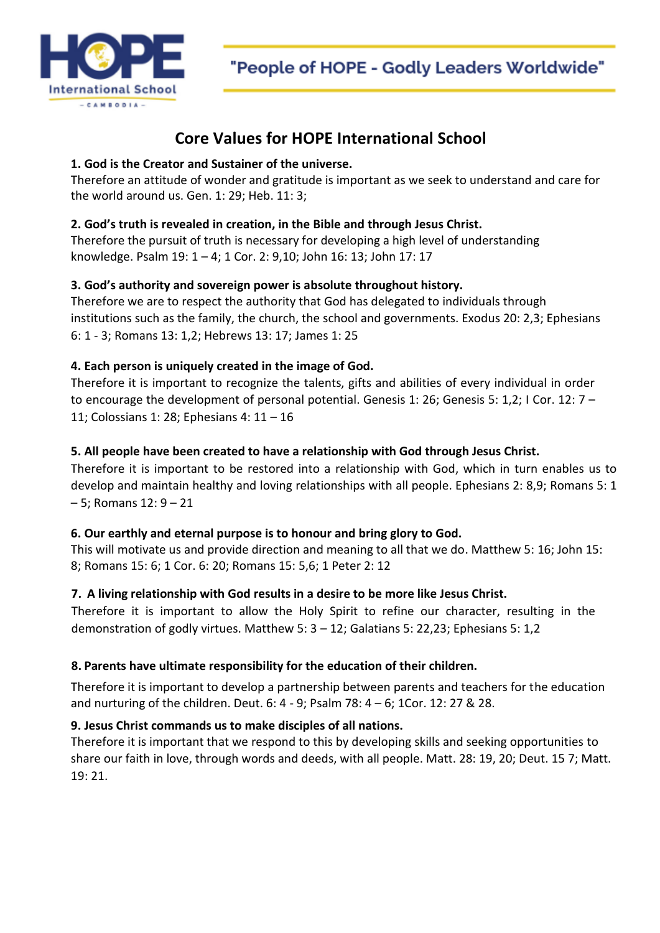

"People of HOPE - Godly Leaders Worldwide"

# **Core Values for HOPE International School**

## **1. God is the Creator and Sustainer of the universe.**

Therefore an attitude of wonder and gratitude is important as we seek to understand and care for the world around us. Gen. 1: 29; Heb. 11: 3;

## **2. God's truth is revealed in creation, in the Bible and through Jesus Christ.**

Therefore the pursuit of truth is necessary for developing a high level of understanding knowledge. Psalm 19: 1 – 4; 1 Cor. 2: 9,10; John 16: 13; John 17: 17

# **3. God's authority and sovereign power is absolute throughout history.**

Therefore we are to respect the authority that God has delegated to individuals through institutions such as the family, the church, the school and governments. Exodus 20: 2,3; Ephesians 6: 1 - 3; Romans 13: 1,2; Hebrews 13: 17; James 1: 25

# **4. Each person is uniquely created in the image of God.**

Therefore it is important to recognize the talents, gifts and abilities of every individual in order to encourage the development of personal potential. Genesis 1: 26; Genesis 5: 1,2; I Cor. 12: 7 – 11; Colossians 1: 28; Ephesians 4: 11 – 16

# **5. All people have been created to have a relationship with God through Jesus Christ.**

Therefore it is important to be restored into a relationship with God, which in turn enables us to develop and maintain healthy and loving relationships with all people. Ephesians 2: 8,9; Romans 5: 1 – 5; Romans 12: 9 – 21

#### **6. Our earthly and eternal purpose is to honour and bring glory to God.**

This will motivate us and provide direction and meaning to all that we do. Matthew 5: 16; John 15: 8; Romans 15: 6; 1 Cor. 6: 20; Romans 15: 5,6; 1 Peter 2: 12

# **7. A living relationship with God results in a desire to be more like Jesus Christ.**

Therefore it is important to allow the Holy Spirit to refine our character, resulting in the demonstration of godly virtues. Matthew 5: 3 – 12; Galatians 5: 22,23; Ephesians 5: 1,2

#### **8. Parents have ultimate responsibility for the education of their children.**

Therefore it is important to develop a partnership between parents and teachers for the education and nurturing of the children. Deut. 6: 4 - 9; Psalm 78: 4 – 6; 1Cor. 12: 27 & 28.

## **9. Jesus Christ commands us to make disciples of all nations.**

Therefore it is important that we respond to this by developing skills and seeking opportunities to share our faith in love, through words and deeds, with all people. Matt. 28: 19, 20; Deut. 15 7; Matt. 19: 21.